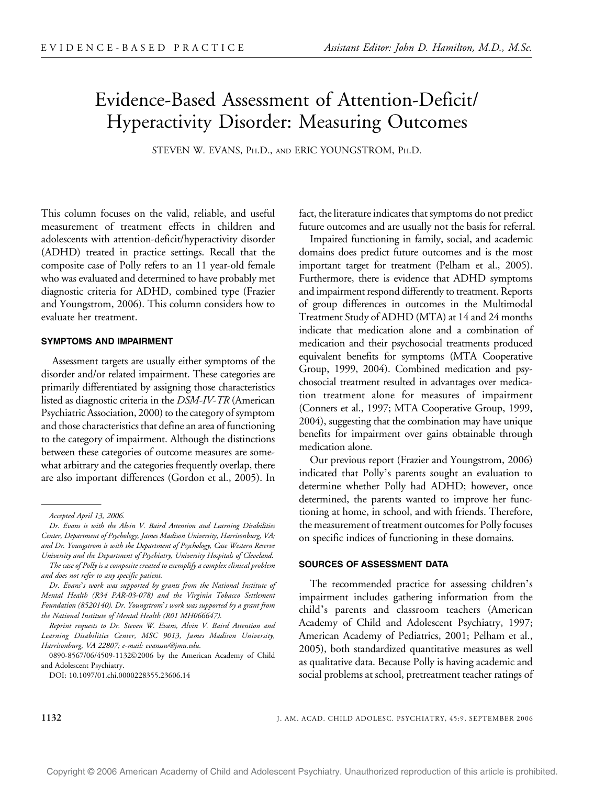# Evidence-Based Assessment of Attention-Deficit/ Hyperactivity Disorder: Measuring Outcomes

STEVEN W. EVANS, PH.D., AND ERIC YOUNGSTROM, PH.D.

This column focuses on the valid, reliable, and useful measurement of treatment effects in children and adolescents with attention-deficit/hyperactivity disorder (ADHD) treated in practice settings. Recall that the composite case of Polly refers to an 11 year-old female who was evaluated and determined to have probably met diagnostic criteria for ADHD, combined type (Frazier and Youngstrom, 2006). This column considers how to evaluate her treatment.

#### SYMPTOMS AND IMPAIRMENT

Assessment targets are usually either symptoms of the disorder and/or related impairment. These categories are primarily differentiated by assigning those characteristics listed as diagnostic criteria in the DSM-IV-TR (American Psychiatric Association, 2000) to the category of symptom and those characteristics that define an area of functioning to the category of impairment. Although the distinctions between these categories of outcome measures are somewhat arbitrary and the categories frequently overlap, there are also important differences (Gordon et al., 2005). In

The case of Polly is a composite created to exemplify a complex clinical problem and does not refer to any specific patient.

Dr. Evans's work was supported by grants from the National Institute of Mental Health (R34 PAR-03-078) and the Virginia Tobacco Settlement Foundation (8520140). Dr. Youngstrom's work was supported by a grant from the National Institute of Mental Health (R01 MH066647).

0890-8567/06/4509-11322006 by the American Academy of Child and Adolescent Psychiatry.

fact, the literature indicates that symptoms do not predict future outcomes and are usually not the basis for referral.

Impaired functioning in family, social, and academic domains does predict future outcomes and is the most important target for treatment (Pelham et al., 2005). Furthermore, there is evidence that ADHD symptoms and impairment respond differently to treatment. Reports of group differences in outcomes in the Multimodal Treatment Study of ADHD (MTA) at 14 and 24 months indicate that medication alone and a combination of medication and their psychosocial treatments produced equivalent benefits for symptoms (MTA Cooperative Group, 1999, 2004). Combined medication and psychosocial treatment resulted in advantages over medication treatment alone for measures of impairment (Conners et al., 1997; MTA Cooperative Group, 1999, 2004), suggesting that the combination may have unique benefits for impairment over gains obtainable through medication alone.

Our previous report (Frazier and Youngstrom, 2006) indicated that Polly's parents sought an evaluation to determine whether Polly had ADHD; however, once determined, the parents wanted to improve her functioning at home, in school, and with friends. Therefore, the measurement of treatment outcomes for Polly focuses on specific indices of functioning in these domains.

## SOURCES OF ASSESSMENT DATA

The recommended practice for assessing children's impairment includes gathering information from the child's parents and classroom teachers (American Academy of Child and Adolescent Psychiatry, 1997; American Academy of Pediatrics, 2001; Pelham et al., 2005), both standardized quantitative measures as well as qualitative data. Because Polly is having academic and social problems at school, pretreatment teacher ratings of

Accepted April 13, 2006.

Dr. Evans is with the Alvin V. Baird Attention and Learning Disabilities Center, Department of Psychology, James Madison University, Harrisonburg, VA; and Dr. Youngstrom is with the Department of Psychology, Case Western Reserve University and the Department of Psychiatry, University Hospitals of Cleveland.

Reprint requests to Dr. Steven W. Evans, Alvin V. Baird Attention and Learning Disabilities Center, MSC 9013, James Madison University, Harrisonburg, VA 22807; e-mail: evanssw@jmu.edu.

DOI: 10.1097/01.chi.0000228355.23606.14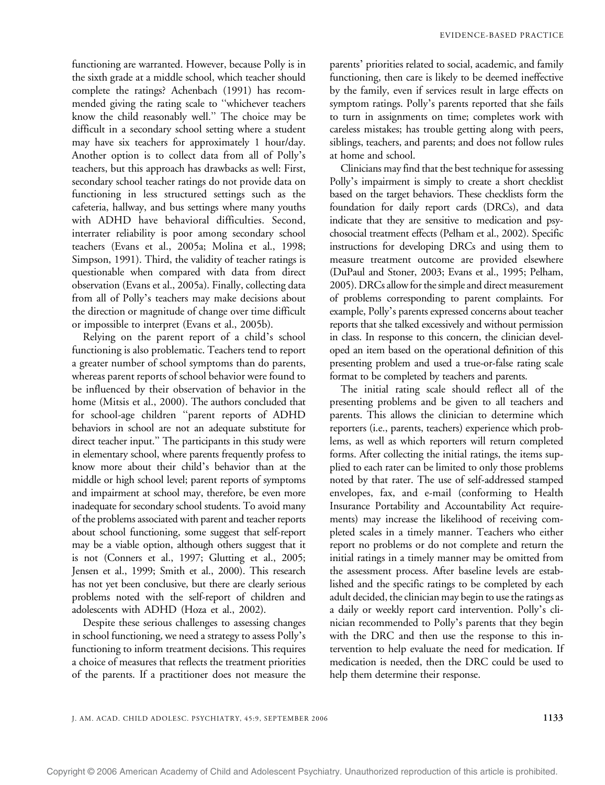functioning are warranted. However, because Polly is in the sixth grade at a middle school, which teacher should complete the ratings? Achenbach (1991) has recommended giving the rating scale to ''whichever teachers know the child reasonably well.'' The choice may be difficult in a secondary school setting where a student may have six teachers for approximately 1 hour/day. Another option is to collect data from all of Polly's teachers, but this approach has drawbacks as well: First, secondary school teacher ratings do not provide data on functioning in less structured settings such as the cafeteria, hallway, and bus settings where many youths with ADHD have behavioral difficulties. Second, interrater reliability is poor among secondary school teachers (Evans et al., 2005a; Molina et al., 1998; Simpson, 1991). Third, the validity of teacher ratings is questionable when compared with data from direct observation (Evans et al., 2005a). Finally, collecting data from all of Polly's teachers may make decisions about the direction or magnitude of change over time difficult or impossible to interpret (Evans et al., 2005b).

Relying on the parent report of a child's school functioning is also problematic. Teachers tend to report a greater number of school symptoms than do parents, whereas parent reports of school behavior were found to be influenced by their observation of behavior in the home (Mitsis et al., 2000). The authors concluded that for school-age children ''parent reports of ADHD behaviors in school are not an adequate substitute for direct teacher input.'' The participants in this study were in elementary school, where parents frequently profess to know more about their child's behavior than at the middle or high school level; parent reports of symptoms and impairment at school may, therefore, be even more inadequate for secondary school students. To avoid many of the problems associated with parent and teacher reports about school functioning, some suggest that self-report may be a viable option, although others suggest that it is not (Conners et al., 1997; Glutting et al., 2005; Jensen et al., 1999; Smith et al., 2000). This research has not yet been conclusive, but there are clearly serious problems noted with the self-report of children and adolescents with ADHD (Hoza et al., 2002).

Despite these serious challenges to assessing changes in school functioning, we need a strategy to assess Polly's functioning to inform treatment decisions. This requires a choice of measures that reflects the treatment priorities of the parents. If a practitioner does not measure the

parents' priorities related to social, academic, and family functioning, then care is likely to be deemed ineffective by the family, even if services result in large effects on symptom ratings. Polly's parents reported that she fails to turn in assignments on time; completes work with careless mistakes; has trouble getting along with peers, siblings, teachers, and parents; and does not follow rules at home and school.

Clinicians may find that the best technique for assessing Polly's impairment is simply to create a short checklist based on the target behaviors. These checklists form the foundation for daily report cards (DRCs), and data indicate that they are sensitive to medication and psychosocial treatment effects (Pelham et al., 2002). Specific instructions for developing DRCs and using them to measure treatment outcome are provided elsewhere (DuPaul and Stoner, 2003; Evans et al., 1995; Pelham, 2005). DRCs allow for the simple and direct measurement of problems corresponding to parent complaints. For example, Polly's parents expressed concerns about teacher reports that she talked excessively and without permission in class. In response to this concern, the clinician developed an item based on the operational definition of this presenting problem and used a true-or-false rating scale format to be completed by teachers and parents.

The initial rating scale should reflect all of the presenting problems and be given to all teachers and parents. This allows the clinician to determine which reporters (i.e., parents, teachers) experience which problems, as well as which reporters will return completed forms. After collecting the initial ratings, the items supplied to each rater can be limited to only those problems noted by that rater. The use of self-addressed stamped envelopes, fax, and e-mail (conforming to Health Insurance Portability and Accountability Act requirements) may increase the likelihood of receiving completed scales in a timely manner. Teachers who either report no problems or do not complete and return the initial ratings in a timely manner may be omitted from the assessment process. After baseline levels are established and the specific ratings to be completed by each adult decided, the clinician may begin to use the ratings as a daily or weekly report card intervention. Polly's clinician recommended to Polly's parents that they begin with the DRC and then use the response to this intervention to help evaluate the need for medication. If medication is needed, then the DRC could be used to help them determine their response.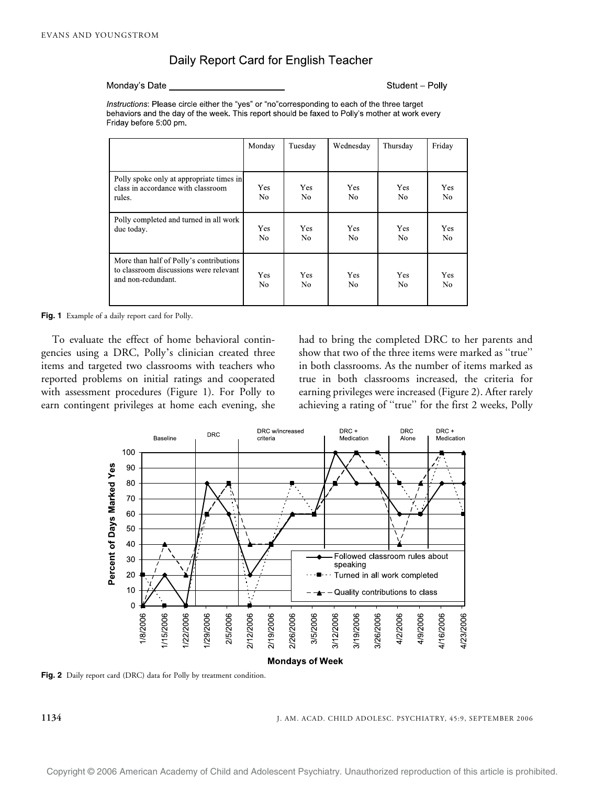# Daily Report Card for English Teacher

Monday's Date

Student - Polly

Instructions: Please circle either the "yes" or "no"corresponding to each of the three target behaviors and the day of the week. This report should be faxed to Polly's mother at work every Friday before 5:00 pm.

|                                                                                                         | Monday                       | Tuesday           | Wednesdav             | Thursday              | Friday                |
|---------------------------------------------------------------------------------------------------------|------------------------------|-------------------|-----------------------|-----------------------|-----------------------|
| Polly spoke only at appropriate times in<br>class in accordance with classroom<br>rules.                | <b>Yes</b><br>N <sub>0</sub> | <b>Yes</b><br>No. | <b>Yes</b><br>No.     | <b>Yes</b><br>No.     | Yes<br>No.            |
| Polly completed and turned in all work<br>due today.                                                    | Yes<br>No.                   | Yes<br>No.        | Yes<br>N <sub>0</sub> | Yes<br>No.            | Yes<br>No             |
| More than half of Polly's contributions<br>to classroom discussions were relevant<br>and non-redundant. | Yes<br>N <sub>0</sub>        | <b>Yes</b><br>No. | Yes<br>N <sub>0</sub> | Yes<br>N <sub>0</sub> | Yes<br>N <sub>0</sub> |

Fig. 1 Example of a daily report card for Polly.

To evaluate the effect of home behavioral contingencies using a DRC, Polly's clinician created three items and targeted two classrooms with teachers who reported problems on initial ratings and cooperated with assessment procedures (Figure 1). For Polly to earn contingent privileges at home each evening, she had to bring the completed DRC to her parents and show that two of the three items were marked as ''true'' in both classrooms. As the number of items marked as true in both classrooms increased, the criteria for earning privileges were increased (Figure 2). After rarely achieving a rating of ''true'' for the first 2 weeks, Polly



Fig. 2 Daily report card (DRC) data for Polly by treatment condition.

1134 J. AM. ACAD. CHILD ADOLESC. PSYCHIATRY, 45:9, SEPTEMBER 2006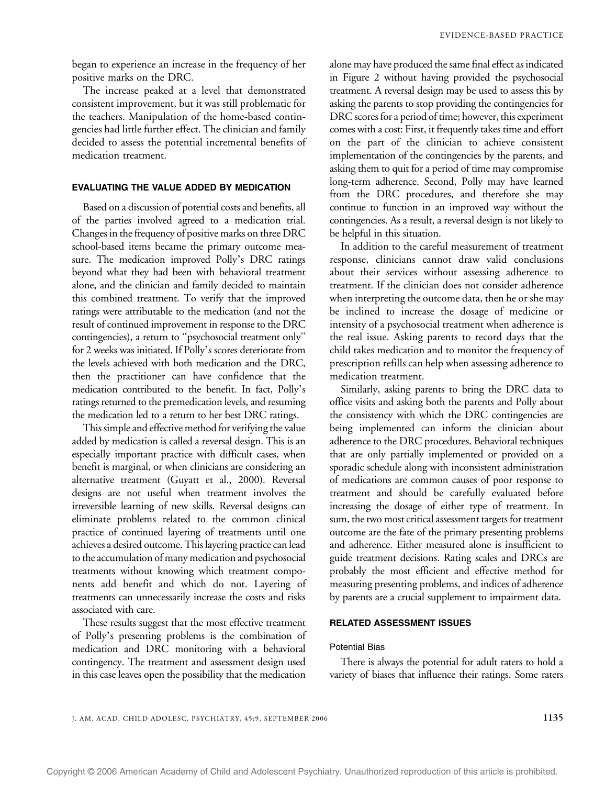began to experience an increase in the frequency of her positive marks on the DRC.

The increase peaked at a level that demonstrated consistent improvement, but it was still problematic for the teachers. Manipulation of the home-based contingencies had little further effect. The clinician and family decided to assess the potential incremental benefits of medication treatment.

# EVALUATING THE VALUE ADDED BY MEDICATION

Based on a discussion of potential costs and benefits, all of the parties involved agreed to a medication trial. Changes in the frequency of positive marks on three DRC school-based items became the primary outcome measure. The medication improved Polly's DRC ratings beyond what they had been with behavioral treatment alone, and the clinician and family decided to maintain this combined treatment. To verify that the improved ratings were attributable to the medication (and not the result of continued improvement in response to the DRC contingencies), a return to ''psychosocial treatment only'' for 2 weeks was initiated. If Polly's scores deteriorate from the levels achieved with both medication and the DRC, then the practitioner can have confidence that the medication contributed to the benefit. In fact, Polly's ratings returned to the premedication levels, and resuming the medication led to a return to her best DRC ratings.

This simple and effective method for verifying the value added by medication is called a reversal design. This is an especially important practice with difficult cases, when benefit is marginal, or when clinicians are considering an alternative treatment (Guyatt et al., 2000). Reversal designs are not useful when treatment involves the irreversible learning of new skills. Reversal designs can eliminate problems related to the common clinical practice of continued layering of treatments until one achieves a desired outcome. This layering practice can lead to the accumulation of many medication and psychosocial treatments without knowing which treatment components add benefit and which do not. Layering of treatments can unnecessarily increase the costs and risks associated with care.

These results suggest that the most effective treatment of Polly's presenting problems is the combination of medication and DRC monitoring with a behavioral contingency. The treatment and assessment design used in this case leaves open the possibility that the medication

alone may have produced the same final effect as indicated in Figure 2 without having provided the psychosocial treatment. A reversal design may be used to assess this by asking the parents to stop providing the contingencies for DRC scores for a period of time; however, this experiment comes with a cost: First, it frequently takes time and effort on the part of the clinician to achieve consistent implementation of the contingencies by the parents, and asking them to quit for a period of time may compromise long-term adherence. Second, Polly may have learned from the DRC procedures, and therefore she may continue to function in an improved way without the contingencies. As a result, a reversal design is not likely to be helpful in this situation.

In addition to the careful measurement of treatment response, clinicians cannot draw valid conclusions about their services without assessing adherence to treatment. If the clinician does not consider adherence when interpreting the outcome data, then he or she may be inclined to increase the dosage of medicine or intensity of a psychosocial treatment when adherence is the real issue. Asking parents to record days that the child takes medication and to monitor the frequency of prescription refills can help when assessing adherence to medication treatment.

Similarly, asking parents to bring the DRC data to office visits and asking both the parents and Polly about the consistency with which the DRC contingencies are being implemented can inform the clinician about adherence to the DRC procedures. Behavioral techniques that are only partially implemented or provided on a sporadic schedule along with inconsistent administration of medications are common causes of poor response to treatment and should be carefully evaluated before increasing the dosage of either type of treatment. In sum, the two most critical assessment targets for treatment outcome are the fate of the primary presenting problems and adherence. Either measured alone is insufficient to guide treatment decisions. Rating scales and DRCs are probably the most efficient and effective method for measuring presenting problems, and indices of adherence by parents are a crucial supplement to impairment data.

## RELATED ASSESSMENT ISSUES

## Potential Bias

There is always the potential for adult raters to hold a variety of biases that influence their ratings. Some raters

J. AM. ACAD. CHILD ADOLESC. PSYCHIATRY, 45:9, SEPTEMBER 2006 1135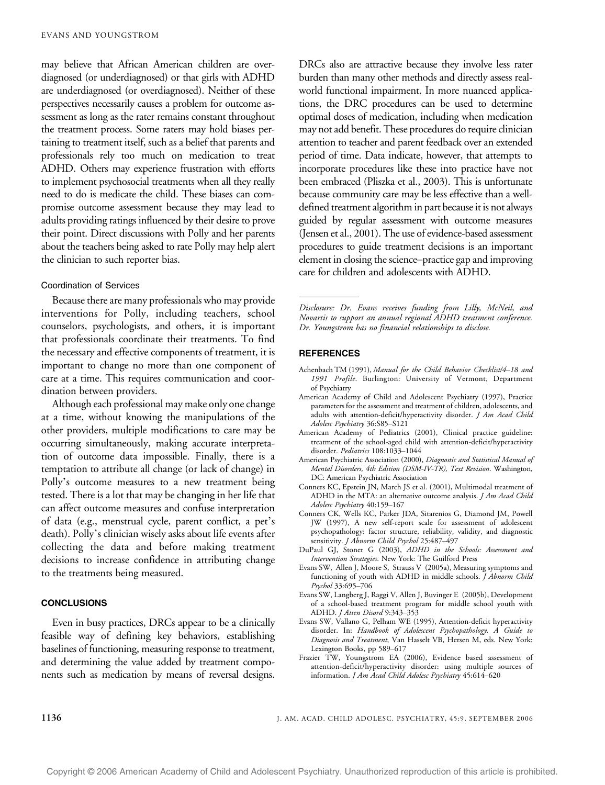may believe that African American children are overdiagnosed (or underdiagnosed) or that girls with ADHD are underdiagnosed (or overdiagnosed). Neither of these perspectives necessarily causes a problem for outcome assessment as long as the rater remains constant throughout the treatment process. Some raters may hold biases pertaining to treatment itself, such as a belief that parents and professionals rely too much on medication to treat ADHD. Others may experience frustration with efforts to implement psychosocial treatments when all they really need to do is medicate the child. These biases can compromise outcome assessment because they may lead to adults providing ratings influenced by their desire to prove their point. Direct discussions with Polly and her parents about the teachers being asked to rate Polly may help alert the clinician to such reporter bias.

#### Coordination of Services

Because there are many professionals who may provide interventions for Polly, including teachers, school counselors, psychologists, and others, it is important that professionals coordinate their treatments. To find the necessary and effective components of treatment, it is important to change no more than one component of care at a time. This requires communication and coordination between providers.

Although each professional may make only one change at a time, without knowing the manipulations of the other providers, multiple modifications to care may be occurring simultaneously, making accurate interpretation of outcome data impossible. Finally, there is a temptation to attribute all change (or lack of change) in Polly's outcome measures to a new treatment being tested. There is a lot that may be changing in her life that can affect outcome measures and confuse interpretation of data (e.g., menstrual cycle, parent conflict, a pet\_s death). Polly's clinician wisely asks about life events after collecting the data and before making treatment decisions to increase confidence in attributing change to the treatments being measured.

#### **CONCLUSIONS**

Even in busy practices, DRCs appear to be a clinically feasible way of defining key behaviors, establishing baselines of functioning, measuring response to treatment, and determining the value added by treatment components such as medication by means of reversal designs.

DRCs also are attractive because they involve less rater burden than many other methods and directly assess realworld functional impairment. In more nuanced applications, the DRC procedures can be used to determine optimal doses of medication, including when medication may not add benefit. These procedures do require clinician attention to teacher and parent feedback over an extended period of time. Data indicate, however, that attempts to incorporate procedures like these into practice have not been embraced (Pliszka et al., 2003). This is unfortunate because community care may be less effective than a welldefined treatment algorithm in part because it is not always guided by regular assessment with outcome measures (Jensen et al., 2001). The use of evidence-based assessment procedures to guide treatment decisions is an important element in closing the science–practice gap and improving care for children and adolescents with ADHD.

Disclosure: Dr. Evans receives funding from Lilly, McNeil, and Novartis to support an annual regional ADHD treatment conference. Dr. Youngstrom has no financial relationships to disclose.

#### **REFERENCES**

- Achenbach TM (1991), Manual for the Child Behavior Checklist/4-18 and 1991 Profile. Burlington: University of Vermont, Department of Psychiatry
- American Academy of Child and Adolescent Psychiatry (1997), Practice parameters for the assessment and treatment of children, adolescents, and adults with attention-deficit/hyperactivity disorder. *J Am Acad Child* Adolesc Psychiatry 36:S85-S121
- American Academy of Pediatrics (2001), Clinical practice guideline: treatment of the school-aged child with attention-deficit/hyperactivity disorder. Pediatrics 108:1033-1044
- American Psychiatric Association (2000), Diagnostic and Statistical Manual of Mental Disorders, 4th Edition (DSM-IV-TR), Text Revision. Washington, DC: American Psychiatric Association
- Conners KC, Epstein JN, March JS et al. (2001), Multimodal treatment of ADHD in the MTA: an alternative outcome analysis. *J Am Acad Child* Adolesc Psychiatry 40:159-167
- Conners CK, Wells KC, Parker JDA, Sitarenios G, Diamond JM, Powell JW (1997), A new self-report scale for assessment of adolescent psychopathology: factor structure, reliability, validity, and diagnostic sensitivity. J Abnorm Child Psychol 25:487-497
- DuPaul GJ, Stoner G (2003), ADHD in the Schools: Assessment and Intervention Strategies. New York: The Guilford Press
- Evans SW, Allen J, Moore S, Strauss V (2005a), Measuring symptoms and functioning of youth with ADHD in middle schools. J Abnorm Child Psychol 33:695-706
- Evans SW, Langberg J, Raggi V, Allen J, Buvinger E (2005b), Development of a school-based treatment program for middle school youth with ADHD. J Atten Disord 9:343-353
- Evans SW, Vallano G, Pelham WE (1995), Attention-deficit hyperactivity disorder. In: Handbook of Adolescent Psychopathology. A Guide to Diagnosis and Treatment, Van Hasselt VB, Hersen M, eds. New York: Lexington Books, pp 589-617
- Frazier TW, Youngstrom EA (2006), Evidence based assessment of attention-deficit/hyperactivity disorder: using multiple sources of information. J Am Acad Child Adolesc Psychiatry 45:614-620